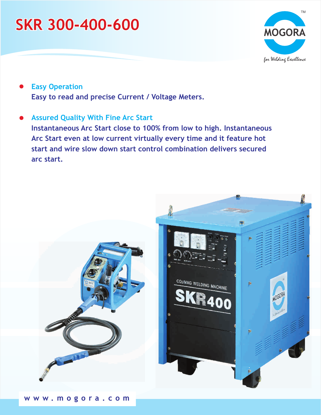# **SKR 300-400-600**



- **Easy to read and precise Current / Voltage Meters. Easy Operation**
- **Instantaneous Arc Start close to 100% from low to high. Instantaneous Arc Start even at low current virtually every time and it feature hot start and wire slow down start control combination delivers secured arc start. Assured Quality With Fine Arc Start**